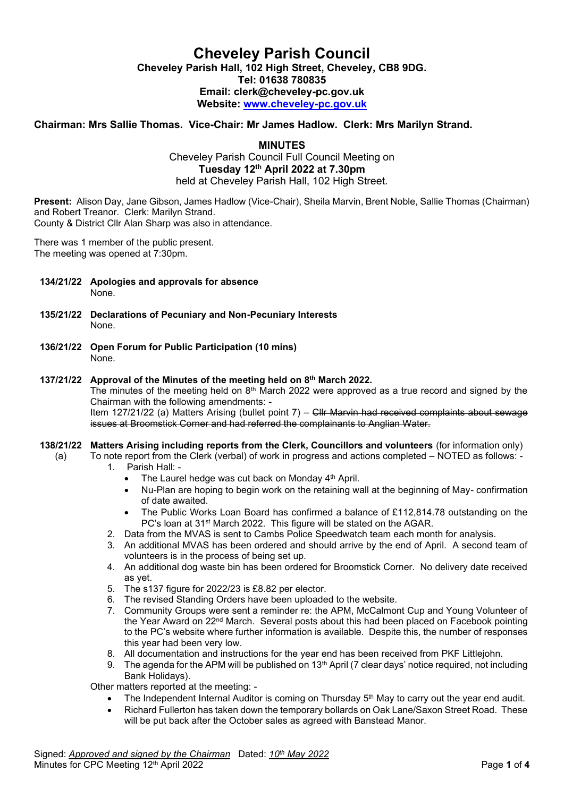# **Cheveley Parish Council Cheveley Parish Hall, 102 High Street, Cheveley, CB8 9DG. Tel: 01638 780835 Email: clerk@cheveley-pc.gov.uk Website: [www.cheveley-pc.gov.uk](http://www.cheveley-pc.gov.uk/)**

# **Chairman: Mrs Sallie Thomas. Vice-Chair: Mr James Hadlow. Clerk: Mrs Marilyn Strand.**

**MINUTES**

Cheveley Parish Council Full Council Meeting on **Tuesday 12th April 2022 at 7.30pm** held at Cheveley Parish Hall, 102 High Street.

**Present:** Alison Day, Jane Gibson, James Hadlow (Vice-Chair), Sheila Marvin, Brent Noble, Sallie Thomas (Chairman) and Robert Treanor. Clerk: Marilyn Strand. County & District Cllr Alan Sharp was also in attendance.

There was 1 member of the public present. The meeting was opened at 7:30pm.

- **134/21/22 Apologies and approvals for absence**  None.
- **135/21/22 Declarations of Pecuniary and Non-Pecuniary Interests** None.
- **136/21/22 Open Forum for Public Participation (10 mins)**  None.

### **137/21/22 Approval of the Minutes of the meeting held on 8th March 2022.**

The minutes of the meeting held on  $8<sup>th</sup>$  March 2022 were approved as a true record and signed by the Chairman with the following amendments: -

Item 127/21/22 (a) Matters Arising (bullet point 7) – Cllr Marvin had received complaints about sewage issues at Broomstick Corner and had referred the complainants to Anglian Water.

#### **138/21/22 Matters Arising including reports from the Clerk, Councillors and volunteers** (for information only)

- (a) To note report from the Clerk (verbal) of work in progress and actions completed NOTED as follows: 1. Parish Hall: -
	- The Laurel hedge was cut back on Monday 4<sup>th</sup> April.
		- Nu-Plan are hoping to begin work on the retaining wall at the beginning of May- confirmation of date awaited.
		- The Public Works Loan Board has confirmed a balance of £112,814.78 outstanding on the PC's loan at 31<sup>st</sup> March 2022. This figure will be stated on the AGAR.
	- 2. Data from the MVAS is sent to Cambs Police Speedwatch team each month for analysis.
	- 3. An additional MVAS has been ordered and should arrive by the end of April. A second team of volunteers is in the process of being set up.
	- 4. An additional dog waste bin has been ordered for Broomstick Corner. No delivery date received as yet.
	- 5. The s137 figure for 2022/23 is £8.82 per elector.
	- 6. The revised Standing Orders have been uploaded to the website.
	- 7. Community Groups were sent a reminder re: the APM, McCalmont Cup and Young Volunteer of the Year Award on 22nd March. Several posts about this had been placed on Facebook pointing to the PC's website where further information is available. Despite this, the number of responses this year had been very low.
	- 8. All documentation and instructions for the year end has been received from PKF Littlejohn.
	- 9. The agenda for the APM will be published on  $13<sup>th</sup>$  April (7 clear days' notice required, not including Bank Holidays).

Other matters reported at the meeting: -

- The Independent Internal Auditor is coming on Thursday 5<sup>th</sup> May to carry out the year end audit.
- Richard Fullerton has taken down the temporary bollards on Oak Lane/Saxon Street Road. These will be put back after the October sales as agreed with Banstead Manor.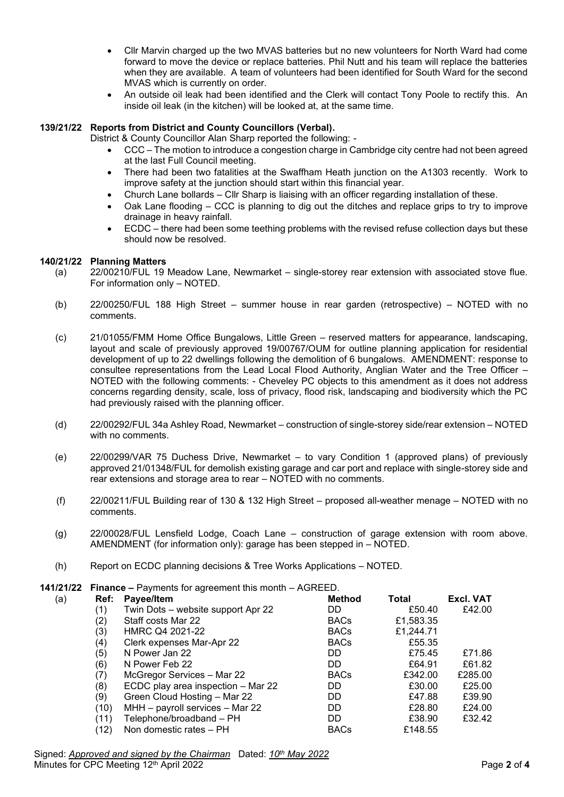- Cllr Marvin charged up the two MVAS batteries but no new volunteers for North Ward had come forward to move the device or replace batteries. Phil Nutt and his team will replace the batteries when they are available. A team of volunteers had been identified for South Ward for the second MVAS which is currently on order.
- An outside oil leak had been identified and the Clerk will contact Tony Poole to rectify this. An inside oil leak (in the kitchen) will be looked at, at the same time.

# **139/21/22 Reports from District and County Councillors (Verbal).**

District & County Councillor Alan Sharp reported the following: -

- CCC The motion to introduce a congestion charge in Cambridge city centre had not been agreed at the last Full Council meeting.
- There had been two fatalities at the Swaffham Heath junction on the A1303 recently. Work to improve safety at the junction should start within this financial year.
- Church Lane bollards Cllr Sharp is liaising with an officer regarding installation of these.
- Oak Lane flooding CCC is planning to dig out the ditches and replace grips to try to improve drainage in heavy rainfall.
- ECDC there had been some teething problems with the revised refuse collection days but these should now be resolved.

## **140/21/22 Planning Matters**

- (a) 22/00210/FUL 19 Meadow Lane, Newmarket single-storey rear extension with associated stove flue. For information only – NOTED.
- (b) 22/00250/FUL 188 High Street summer house in rear garden (retrospective) NOTED with no comments.
- (c) 21/01055/FMM Home Office Bungalows, Little Green reserved matters for appearance, landscaping, layout and scale of previously approved 19/00767/OUM for outline planning application for residential development of up to 22 dwellings following the demolition of 6 bungalows. AMENDMENT: response to consultee representations from the Lead Local Flood Authority, Anglian Water and the Tree Officer – NOTED with the following comments: - Cheveley PC objects to this amendment as it does not address concerns regarding density, scale, loss of privacy, flood risk, landscaping and biodiversity which the PC had previously raised with the planning officer.
- (d) 22/00292/FUL 34a Ashley Road, Newmarket construction of single-storey side/rear extension NOTED with no comments.
- (e) 22/00299/VAR 75 Duchess Drive, Newmarket to vary Condition 1 (approved plans) of previously approved 21/01348/FUL for demolish existing garage and car port and replace with single-storey side and rear extensions and storage area to rear – NOTED with no comments.
- (f) 22/00211/FUL Building rear of 130 & 132 High Street proposed all-weather menage NOTED with no comments.
- (g) 22/00028/FUL Lensfield Lodge, Coach Lane construction of garage extension with room above. AMENDMENT (for information only): garage has been stepped in – NOTED.
- (h) Report on ECDC planning decisions & Tree Works Applications NOTED.

|     | <b>141/21/22 Finance – Payments for agreement this month – AGREED.</b> |                                    |             |           |                  |  |  |
|-----|------------------------------------------------------------------------|------------------------------------|-------------|-----------|------------------|--|--|
| (a) | Ref:                                                                   | Payee/Item                         | Method      | Total     | <b>Excl. VAT</b> |  |  |
|     | (1)                                                                    | Twin Dots – website support Apr 22 | DD          | £50.40    | £42.00           |  |  |
|     | (2)                                                                    | Staff costs Mar 22                 | <b>BACs</b> | £1,583.35 |                  |  |  |
|     | (3)                                                                    | HMRC Q4 2021-22                    | <b>BACs</b> | £1,244.71 |                  |  |  |
|     | (4)                                                                    | Clerk expenses Mar-Apr 22          | <b>BACs</b> | £55.35    |                  |  |  |
|     | (5)                                                                    | N Power Jan 22                     | DD          | £75.45    | £71.86           |  |  |
|     | (6)                                                                    | N Power Feb 22                     | DD          | £64.91    | £61.82           |  |  |
|     | (7)                                                                    | McGregor Services - Mar 22         | <b>BACs</b> | £342.00   | £285.00          |  |  |
|     | (8)                                                                    | ECDC play area inspection - Mar 22 | DD          | £30.00    | £25.00           |  |  |
|     | (9)                                                                    | Green Cloud Hosting - Mar 22       | DD          | £47.88    | £39.90           |  |  |
|     | (10)                                                                   | MHH - payroll services - Mar 22    | DD          | £28.80    | £24.00           |  |  |
|     | (11)                                                                   | Telephone/broadband - PH           | DD          | £38.90    | £32.42           |  |  |
|     | (12)                                                                   | Non domestic rates - PH            | <b>BACs</b> | £148.55   |                  |  |  |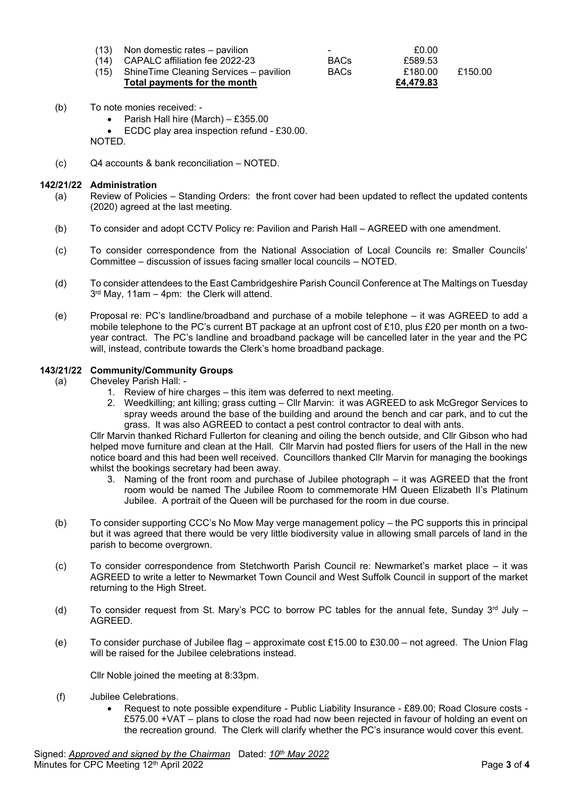| $(13)$ Non domestic rates – pavilion         | $\overline{\phantom{0}}$ | £0.00     |         |
|----------------------------------------------|--------------------------|-----------|---------|
| $(14)$ CAPALC affiliation fee 2022-23        | <b>BACs</b>              | £589.53   |         |
| (15) Shine Time Cleaning Services – pavilion | <b>BACs</b>              | £180.00   | £150.00 |
| Total payments for the month                 |                          | £4.479.83 |         |

- (b) To note monies received:
	- Parish Hall hire (March) £355.00

• ECDC play area inspection refund - £30.00.

NOTED.

(c) Q4 accounts & bank reconciliation – NOTED.

#### **142/21/22 Administration**

- (a) Review of Policies Standing Orders: the front cover had been updated to reflect the updated contents (2020) agreed at the last meeting.
- (b) To consider and adopt CCTV Policy re: Pavilion and Parish Hall AGREED with one amendment.
- (c) To consider correspondence from the National Association of Local Councils re: Smaller Councils' Committee – discussion of issues facing smaller local councils – NOTED.
- (d) To consider attendees to the East Cambridgeshire Parish Council Conference at The Maltings on Tuesday 3 rd May, 11am – 4pm: the Clerk will attend.
- (e) Proposal re: PC's landline/broadband and purchase of a mobile telephone it was AGREED to add a mobile telephone to the PC's current BT package at an upfront cost of £10, plus £20 per month on a twoyear contract. The PC's landline and broadband package will be cancelled later in the year and the PC will, instead, contribute towards the Clerk's home broadband package.

### **143/21/22 Community/Community Groups**

- (a) Cheveley Parish Hall:
	- 1. Review of hire charges this item was deferred to next meeting.
	- 2. Weedkilling; ant killing; grass cutting Cllr Marvin: it was AGREED to ask McGregor Services to spray weeds around the base of the building and around the bench and car park, and to cut the grass. It was also AGREED to contact a pest control contractor to deal with ants.

Cllr Marvin thanked Richard Fullerton for cleaning and oiling the bench outside, and Cllr Gibson who had helped move furniture and clean at the Hall. Cllr Marvin had posted fliers for users of the Hall in the new notice board and this had been well received. Councillors thanked Cllr Marvin for managing the bookings whilst the bookings secretary had been away.

- 3. Naming of the front room and purchase of Jubilee photograph it was AGREED that the front room would be named The Jubilee Room to commemorate HM Queen Elizabeth II's Platinum Jubilee. A portrait of the Queen will be purchased for the room in due course.
- (b) To consider supporting CCC's No Mow May verge management policy the PC supports this in principal but it was agreed that there would be very little biodiversity value in allowing small parcels of land in the parish to become overgrown.
- (c) To consider correspondence from Stetchworth Parish Council re: Newmarket's market place it was AGREED to write a letter to Newmarket Town Council and West Suffolk Council in support of the market returning to the High Street.
- (d) To consider request from St. Mary's PCC to borrow PC tables for the annual fete, Sunday  $3^{rd}$  July AGREED.
- (e) To consider purchase of Jubilee flag approximate cost £15.00 to £30.00 not agreed. The Union Flag will be raised for the Jubilee celebrations instead.

Cllr Noble joined the meeting at 8:33pm.

- (f) Jubilee Celebrations.
	- Request to note possible expenditure Public Liability Insurance £89.00; Road Closure costs £575.00 +VAT – plans to close the road had now been rejected in favour of holding an event on the recreation ground. The Clerk will clarify whether the PC's insurance would cover this event.